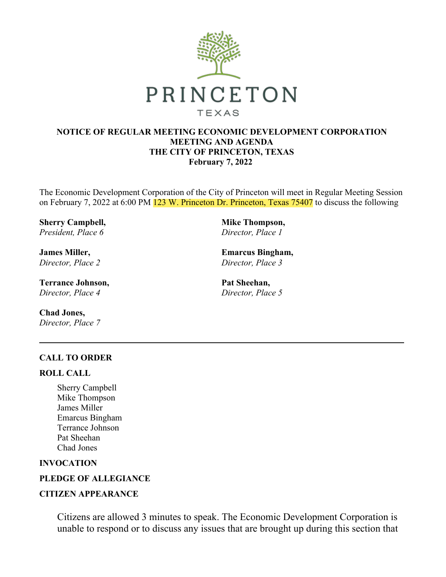

#### **NOTICE OF REGULAR MEETING ECONOMIC DEVELOPMENT CORPORATION MEETING AND AGENDA THE CITY OF PRINCETON, TEXAS February 7, 2022**

The Economic Development Corporation of the City of Princeton will meet in Regular Meeting Session on February 7, 2022 at 6:00 PM 123 W. Princeton Dr. Princeton, Texas 75407 to discuss the following

**Sherry Campbell,** *President, Place 6*

**James Miller,** *Director, Place 2*

**Terrance Johnson,** *Director, Place 4*

**Chad Jones,** *Director, Place 7* **Mike Thompson,** *Director, Place 1*

**Emarcus Bingham,** *Director, Place 3*

**Pat Sheehan,** *Director, Place 5*

#### **CALL TO ORDER**

#### **ROLL CALL**

Sherry Campbell Mike Thompson James Miller Emarcus Bingham Terrance Johnson Pat Sheehan Chad Jones

**INVOCATION**

### **PLEDGE OF ALLEGIANCE**

#### **CITIZEN APPEARANCE**

Citizens are allowed 3 minutes to speak. The Economic Development Corporation is unable to respond or to discuss any issues that are brought up during this section that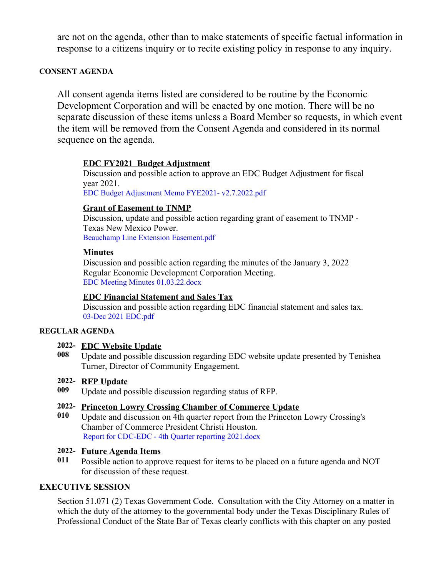are not on the agenda, other than to make statements of specific factual information in response to a citizens inquiry or to recite existing policy in response to any inquiry.

### **CONSENT AGENDA**

All consent agenda items listed are considered to be routine by the Economic Development Corporation and will be enacted by one motion. There will be no separate discussion of these items unless a Board Member so requests, in which event the item will be removed from the Consent Agenda and considered in its normal sequence on the agenda.

# **EDC FY2021 Budget Adjustment**

Discussion and possible action to approve an EDC Budget Adjustment for fiscal year 2021. EDC Budget Adjustment Memo FYE2021- [v2.7.2022.pdf](https://legistarweb-production.s3.amazonaws.com/uploads/attachment/pdf/1223278/EDC_Budget_Adjustment_Memo_FYE2021-_v2.7.2022.pdf)

# **Grant of Easement to TNMP**

Discussion, update and possible action regarding grant of easement to TNMP - Texas New Mexico Power. Beauchamp Line Extension [Easement.pdf](https://legistarweb-production.s3.amazonaws.com/uploads/attachment/pdf/1235209/Beauchamp_Line_Extension_Easement.pdf)

# **Minutes**

Discussion and possible action regarding the minutes of the January 3, 2022 Regular Economic Development Corporation Meeting. EDC Meeting Minutes [01.03.22.docx](https://legistarweb-production.s3.amazonaws.com/uploads/attachment/pdf/1214931/EDC_Meeting_Minutes_01.03.22.pdf)

# **EDC Financial Statement and Sales Tax**

Discussion and possible action regarding EDC financial statement and sales tax. 03-Dec 2021 [EDC.pdf](https://legistarweb-production.s3.amazonaws.com/uploads/attachment/pdf/1223270/03-Dec_2021_EDC.pdf)

#### **REGULAR AGENDA**

# **2022- EDC Website Update**

**008** Update and possible discussion regarding EDC website update presented by Tenishea Turner, Director of Community Engagement.

# **2022- RFP Update**

**009** Update and possible discussion regarding status of RFP.

# **2022- Princeton Lowry Crossing Chamber of Commerce Update**

**010** Update and discussion on 4th quarter report from the Princeton Lowry Crossing's Chamber of Commerce President Christi Houston. Report for [CDC-EDC](https://legistarweb-production.s3.amazonaws.com/uploads/attachment/pdf/1226150/Report_for_CDC-EDC_-_4th_Quarter_reporting_2021.pdf) - 4th Quarter reporting 2021.docx

#### **2022- Future Agenda Items**

**011** Possible action to approve request for items to be placed on a future agenda and NOT for discussion of these request.

# **EXECUTIVE SESSION**

Section 51.071 (2) Texas Government Code. Consultation with the City Attorney on a matter in which the duty of the attorney to the governmental body under the Texas Disciplinary Rules of Professional Conduct of the State Bar of Texas clearly conflicts with this chapter on any posted